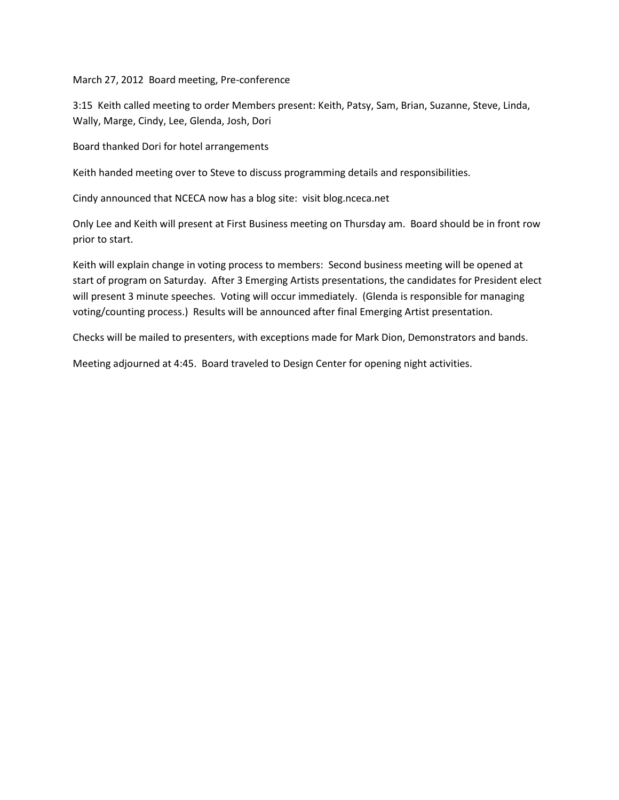March 27, 2012 Board meeting, Pre-conference

3:15 Keith called meeting to order Members present: Keith, Patsy, Sam, Brian, Suzanne, Steve, Linda, Wally, Marge, Cindy, Lee, Glenda, Josh, Dori

Board thanked Dori for hotel arrangements

Keith handed meeting over to Steve to discuss programming details and responsibilities.

Cindy announced that NCECA now has a blog site: visit blog.nceca.net

Only Lee and Keith will present at First Business meeting on Thursday am. Board should be in front row prior to start.

Keith will explain change in voting process to members: Second business meeting will be opened at start of program on Saturday. After 3 Emerging Artists presentations, the candidates for President elect will present 3 minute speeches. Voting will occur immediately. (Glenda is responsible for managing voting/counting process.) Results will be announced after final Emerging Artist presentation.

Checks will be mailed to presenters, with exceptions made for Mark Dion, Demonstrators and bands.

Meeting adjourned at 4:45. Board traveled to Design Center for opening night activities.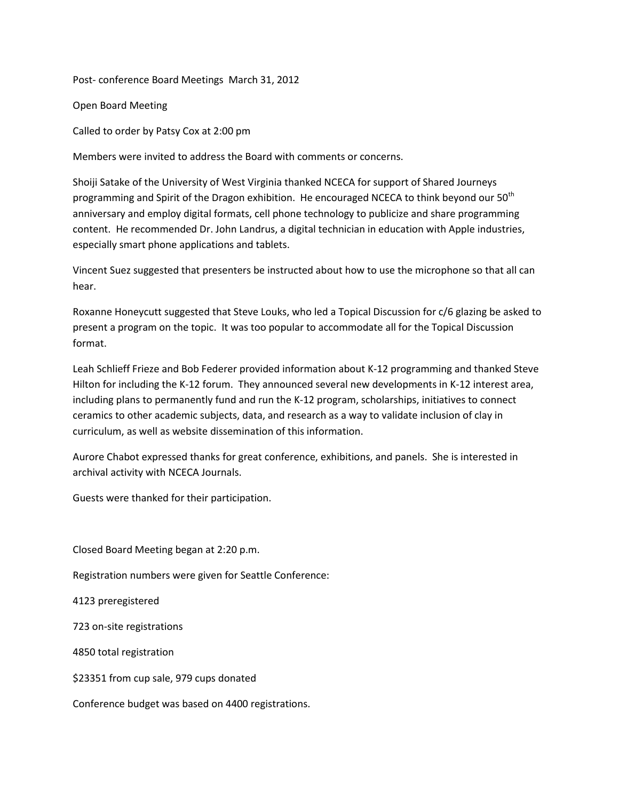Post- conference Board Meetings March 31, 2012

Open Board Meeting

Called to order by Patsy Cox at 2:00 pm

Members were invited to address the Board with comments or concerns.

Shoiji Satake of the University of West Virginia thanked NCECA for support of Shared Journeys programming and Spirit of the Dragon exhibition. He encouraged NCECA to think beyond our 50<sup>th</sup> anniversary and employ digital formats, cell phone technology to publicize and share programming content. He recommended Dr. John Landrus, a digital technician in education with Apple industries, especially smart phone applications and tablets.

Vincent Suez suggested that presenters be instructed about how to use the microphone so that all can hear.

Roxanne Honeycutt suggested that Steve Louks, who led a Topical Discussion for c/6 glazing be asked to present a program on the topic. It was too popular to accommodate all for the Topical Discussion format.

Leah Schlieff Frieze and Bob Federer provided information about K-12 programming and thanked Steve Hilton for including the K-12 forum. They announced several new developments in K-12 interest area, including plans to permanently fund and run the K-12 program, scholarships, initiatives to connect ceramics to other academic subjects, data, and research as a way to validate inclusion of clay in curriculum, as well as website dissemination of this information.

Aurore Chabot expressed thanks for great conference, exhibitions, and panels. She is interested in archival activity with NCECA Journals.

Guests were thanked for their participation.

Closed Board Meeting began at 2:20 p.m.

Registration numbers were given for Seattle Conference:

4123 preregistered

723 on-site registrations

4850 total registration

\$23351 from cup sale, 979 cups donated

Conference budget was based on 4400 registrations.